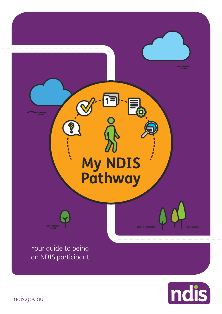



ndis.gov.au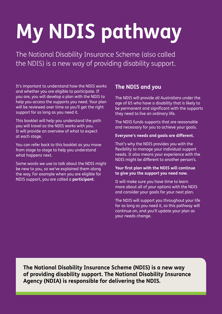# **My NDIS pathway**

The National Disability Insurance Scheme (also called the NDIS) is a new way of providing disability support.

It's important to understand how the NDIS works and whether you are eligible to participate. If you are, you will develop a plan with the NDIS to help you access the supports you need. Your plan will be reviewed over time so you'll get the right support for as long as you need it.

This booklet will help you understand the path you will travel as the NDIS works with you. It will provide an overview of what to expect at each stage.

You can refer back to this booklet as you move from stage to stage to help you understand what happens next.

Some words we use to talk about the NDIS might be new to you, so we've explained them along the way. For example when you are eligible for NDIS support, you are called a **participant**.

# **The NDIS and you**

The NDIS will provide all Australians under the age of 65 who have a disability that is likely to be permanent and sianificant with the supports they need to live an ordinary life.

The NDIS funds supports that are reasonable and necessary for you to achieve your goals.

### **Everyone's needs and goals are different.**

That's why the NDIS provides you with the flexibility to manage your individual support needs. It also means your experience with the NDIS might be different to another person's.

### Your first plan with the NDIS will continue to give you the support you need now.

It will make sure you have time to learn more about all of your options with the NDIS and consider your goals for your next plan.

The NDIS will support you throughout your life for as long as you need it, so this pathway will continue on, and you'll update your plan as your needs change.

**The National Disability Insurance Scheme (NDIS) is a new way**  of providing disability support. The National Disability Insurance Agency (NDIA) is responsible for delivering the NDIS.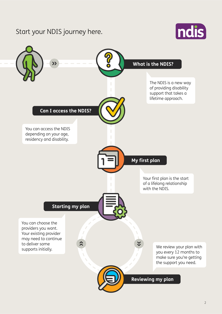# Start your NDIS journey here.



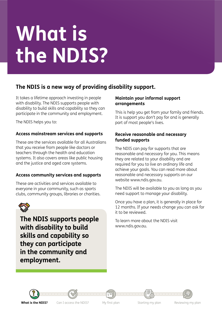# What is the NDIS?

# The NDIS is a new way of providing disability support.

It takes a lifetime approach investing in people with disability. The NDIS supports people with disability to build skills and capability so they can participate in the community and employment.

The NDIS helps you to:

# Access mainstream services and supports

These are the services available for all Australians that you receive from people like doctors or teachers through the health and education systems. It also covers areas like public housing and the justice and aged care systems.

## Access community services and supports

These are activities and services available to everyone in your community, such as sports clubs, community groups, libraries or charities.



The NDIS supports people with disability to build skills and capability so they can participate in the community and employment.

### Maintain your informal support arrangements

This is help you get from your family and friends. It is support you don't pay for and is generally part of most people's lives.

### Receive reasonable and necessary funded supports

The NDIS can pay for supports that are reasonable and necessary for you. This means they are related to your disability and are required for you to live an ordinary life and achieve your goals. You can read more about reasonable and necessary supports on our website www.ndis.gov.au.

The NDIS will be available to you as long as you need support to manage your disability.

Once you have a plan, it is generally in place for 12 months. If your needs change you can ask for it to be reviewed.

To learn more about the NDIS visit www.ndis.gov.au.



Can I access the NDIS?

My first plan

Starting my plan

Reviewing my plan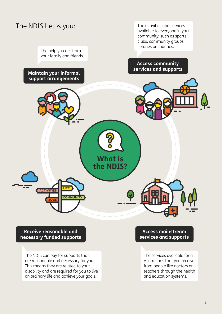

The help you get from your family and friends.

Maintain your informal support arrangements

The activities and services available to everyone in your community, such as sports clubs, community groups, libraries or charities.

# **Access community** services and supports



Receive reasonable and necessary funded supports

The NDIS can pay for supports that are reasonable and necessary for you. This means they are related to your disability and are required for you to live an ordinary life and achieve your goals.

### **Access mainstream** services and supports

The services available for all Australians that you receive from people like doctors or teachers through the health and education systems.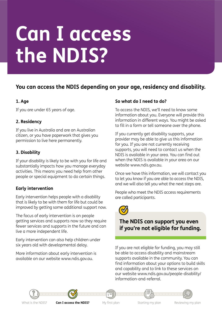# **Can I access** the NDIS?

# You can access the NDIS depending on your age, residency and disability.

# 1. Age

If you are under 65 years of age.

## 2. Residency

If you live in Australia and are an Australian citizen, or you have paperwork that gives you permission to live here permanently.

# 3. Disability

If your disability is likely to be with you for life and substantially impacts how you manage everyday activities. This means you need help from other people or special equipment to do certain things.

## **Early intervention**

Early intervention helps people with a disability that is likely to be with them for life but could be improved by getting some additional support now.

The focus of early intervention is on people getting services and supports now so they require fewer services and supports in the future and can live a more independent life.

Early intervention can also help children under six years old with developmental delay.

More information about early intervention is available on our website www.ndis.gov.au.

## So what do I need to do?

To access the NDIS, we'll need to know some information about you. Everyone will provide this information in different ways. You might be asked to fill in a form or tell someone over the phone.

If you currently get disability supports, your provider may be able to give us this information for you. If you are not currently receiving supports, you will need to contact us when the NDIS is available in your area. You can find out when the NDIS is available in your area on our website www.ndis.gov.au.

Once we have this information, we will contact you to let you know if you are able to access the NDIS, and we will also tell you what the next steps are.

People who meet the NDIS access requirements are called participants.



# The NDIS can support you even if you're not eligible for funding.

If you are not eligible for funding, you may still be able to access disability and mainstream supports available in the community. You can find information about your options to build skills and capability and to link to these services on our website www.ndis.gov.au/people-disability/ information-and-referral.



What is the NDIS?

Can I access the NDIS?

My first plan

Starting my plan

Reviewing my plan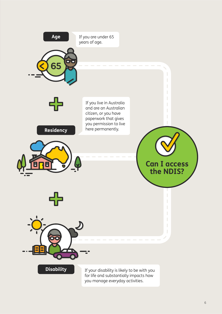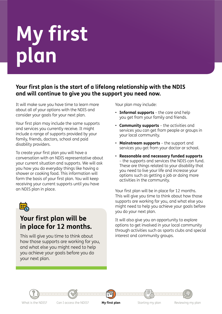# My first<br>plan

# Your first plan is the start of a lifelong relationship with the NDIS and will continue to give you the support you need now.

It will make sure you have time to learn more about all of your options with the NDIS and consider your goals for your next plan.

Your first plan may include the same supports and services you currently receive. It might include a range of supports provided by your family, friends, doctors, school and paid disability providers.

To create your first plan you will have a conversation with an NDIS representative about your current situation and supports. We will ask you how you do everyday things like having a shower or cooking food. This information will form the basis of your first plan. You will keep receiving your current supports until you have an NDIS plan in place.



# Your first plan will be in place for 12 months.

This will give you time to think about how those supports are working for you, and what else you might need to help you achieve your goals before you do your next plan.

Your plan may include:

- Informal supports the care and help you get from your family and friends.
- Community supports the activities and services you can get from people or groups in your local community.
- Mainstream supports the support and services you get from your doctor or school.
- Reasonable and necessary funded supports - the supports and services the NDIS can fund. These are things related to your disability that you need to live your life and increase your options such as getting a job or doing more activities in the community.

Your first plan will be in place for 12 months. This will give you time to think about how those supports are working for you, and what else you might need to help you achieve your goals before you do your next plan.

It will also give you an opportunity to explore options to get involved in your local community through activities such as sports clubs and special interest and community groups.



Can I access the NDIS?

My first plan

Starting my plan

Reviewing my plan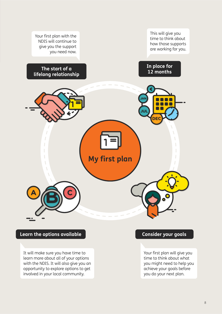

Learn the options available

It will make sure you have time to learn more about all of your options with the NDIS. It will also give you an opportunity to explore options to get involved in your local community.

## **Consider your goals**

Your first plan will give you time to think about what you might need to help you achieve your goals before you do your next plan.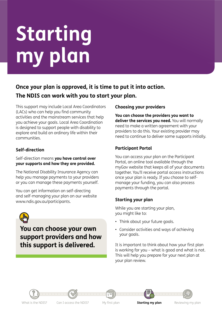# **Starting my plan**

# Once your plan is approved, it is time to put it into action. The NDIS can work with you to start your plan.

This support may include Local Area Coordinators (LACs) who can help you find community activities and the mainstream services that help you achieve your goals. Local Area Coordination is designed to support people with disability to explore and build an ordinary life within their communities.

# **Self-direction**

### Self-direction means **you have control over** your supports and how they are provided.

The National Disability Insurance Agency can help you manage payments to your providers or you can manage these payments yourself.

You can get information on self-directing and self-managing your plan on our website www.ndis.gov.au/participants.



**You can choose your own support providers and how**  this support is delivered.

# **Choosing your providers**

**You can choose the providers you want to**  deliver the services you need. You will normally heed to make a written agreement with your providers to do this. Your existing provider may heed to continue to deliver some supports initially.

# **Participant Portal**

You can access your plan on the Participant Portal, an online tool available through the myGov website that keeps all of your documents together. You'll receive portal access instructions once your plan is ready. If you choose to selfmanage your funding, you can also process payments through the portal.

# **Starting your plan**

While you are starting your plan, you might like to:

- Think about your future goals.
- Consider activities and ways of achieving your goals.

It is important to think about how your first plan is working for you - what is good and what is not. This will help you prepare for your next plan at your plan review.

What is the NDIS? Can I access the NDIS? My first plan **Starting my plan** Reviewing my plan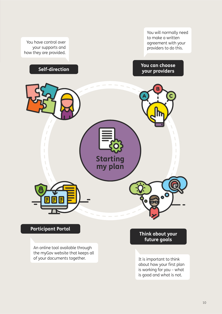

of your documents together.

It is important to think about how your first plan is working for you - what is good and what is not.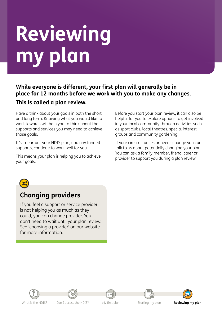# Reviewing my plan

# While everyone is different, your first plan will generally be in place for 12 months before we work with you to make any changes. This is called a plan review.

Have a think about your goals in both the short and long term. Knowing what you would like to work towards will help you to think about the supports and services you may need to achieve those goals.

It's important your NDIS plan, and any funded supports, continue to work well for you.

This means your plan is helping you to achieve your goals.

Before you start your plan review, it can also be helpful for you to explore options to get involved in your local community through activities such as sport clubs, local theatres, special interest groups and community gardening.

If your circumstances or needs change you can talk to us about potentially changing your plan. You can ask a family member, friend, carer or provider to support you during a plan review.



# **Changing providers**

If you feel a support or service provider is not helping you as much as they could, you can change provider. You don't need to wait until your plan review. See 'choosing a provider' on our website for more information



Can I access the NDIS?

My first plan

Starting my plan

Reviewing my plan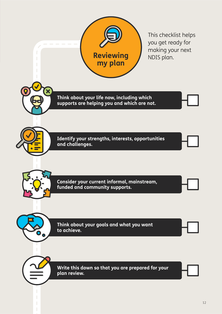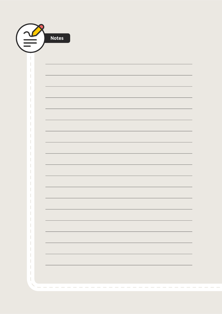| <b>Notes</b> |
|--------------|
|              |
|              |
|              |
|              |
|              |
|              |
|              |
|              |
|              |
|              |
|              |
|              |
|              |
|              |
|              |
|              |
|              |
|              |
|              |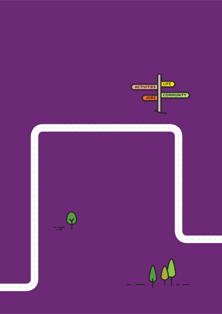